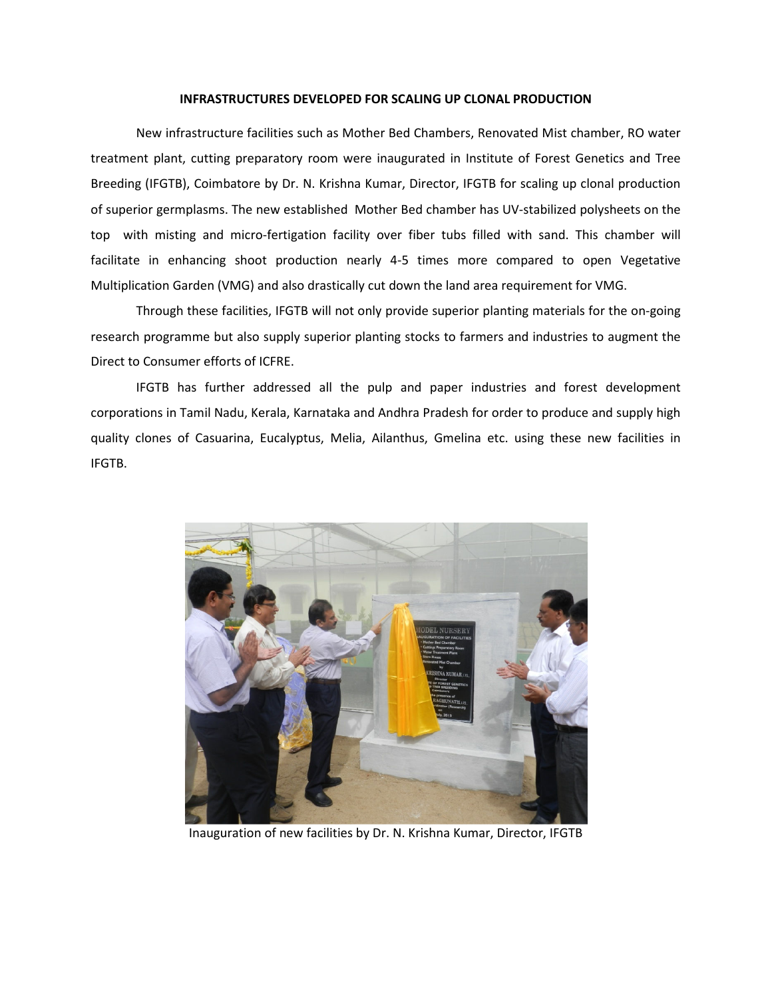## **INFRASTRUCTURES DEVELOPED FOR SCALING UP CLONAL PRODUCTION**

New infrastructure facilities such as Mother Bed Chambers, Renovated Mist chamber, RO water treatment plant, cutting preparatory room were inaugurated in Institute of Forest Genetics and Tree Breeding (IFGTB), Coimbatore by Dr. N. Krishna Kumar, Director, IFGTB for scaling up clonal production of superior germplasms. The new established Mother Bed chamber has UV-stabilized polysheets on the top with misting and micro-fertigation facility over fiber tubs filled with sand. This chamber will facilitate in enhancing shoot production nearly 4-5 times more compared to open Vegetative Multiplication Garden (VMG) and also drastically cut down the land area requirement for VMG.

Through these facilities, IFGTB will not only provide superior planting materials for the on-going research programme but also supply superior planting stocks to farmers and industries to augment the Direct to Consumer efforts of ICFRE.

IFGTB has further addressed all the pulp and paper industries and forest development corporations in Tamil Nadu, Kerala, Karnataka and Andhra Pradesh for order to produce and supply high quality clones of Casuarina, Eucalyptus, Melia, Ailanthus, Gmelina etc. using these new facilities in IFGTB.



Inauguration of new facilities by Dr. N. Krishna Kumar, Director, IFGTB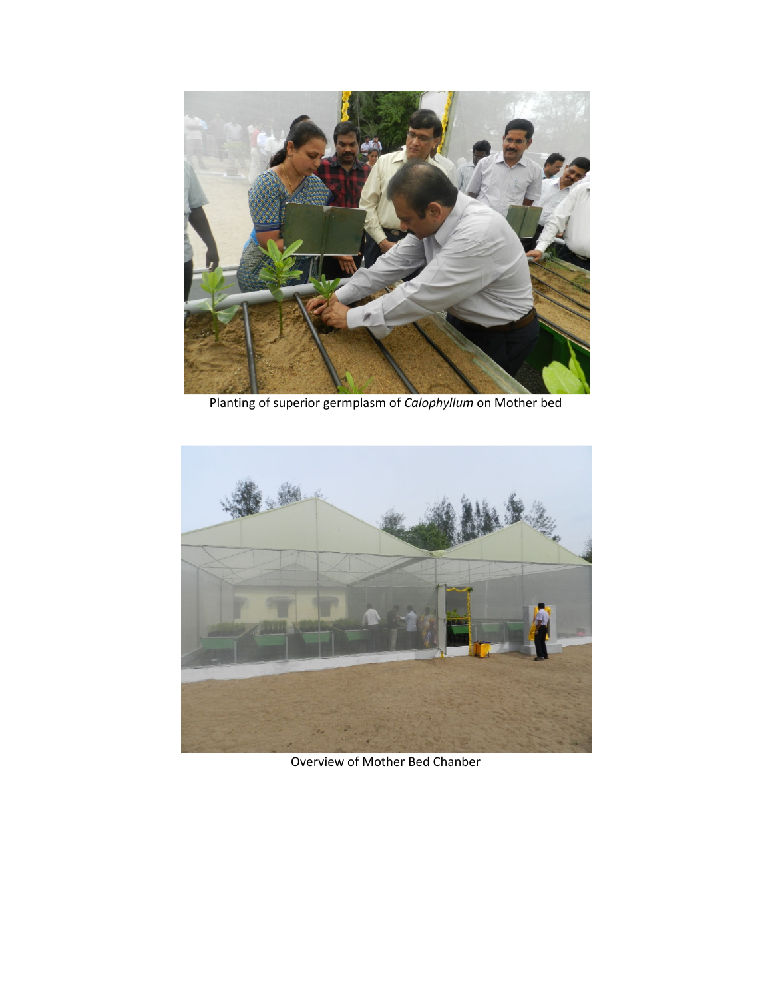

Planting of superior germplasm of *Calophyllum* on Mother bed



Overview of Mother Bed Chanber